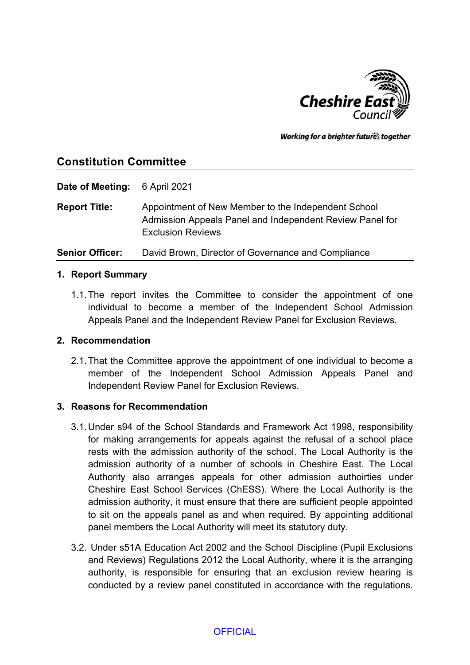

Working for a brighter futures together

# **Constitution Committee**

**Date of Meeting:** 6 April 2021

**Report Title:** Appointment of New Member to the Independent School Admission Appeals Panel and Independent Review Panel for Exclusion Reviews

**Senior Officer:** David Brown, Director of Governance and Compliance

#### **1. Report Summary**

1.1.The report invites the Committee to consider the appointment of one individual to become a member of the Independent School Admission Appeals Panel and the Independent Review Panel for Exclusion Reviews.

#### **2. Recommendation**

2.1.That the Committee approve the appointment of one individual to become a member of the Independent School Admission Appeals Panel and Independent Review Panel for Exclusion Reviews.

#### **3. Reasons for Recommendation**

- 3.1.Under s94 of the School Standards and Framework Act 1998, responsibility for making arrangements for appeals against the refusal of a school place rests with the admission authority of the school. The Local Authority is the admission authority of a number of schools in Cheshire East. The Local Authority also arranges appeals for other admission authoirties under Cheshire East School Services (ChESS). Where the Local Authority is the admission authority, it must ensure that there are sufficient people appointed to sit on the appeals panel as and when required. By appointing additional panel members the Local Authority will meet its statutory duty.
- 3.2. Under s51A Education Act 2002 and the School Discipline (Pupil Exclusions and Reviews) Regulations 2012 the Local Authority, where it is the arranging authority, is responsible for ensuring that an exclusion review hearing is conducted by a review panel constituted in accordance with the regulations.

#### **OFFICIAL**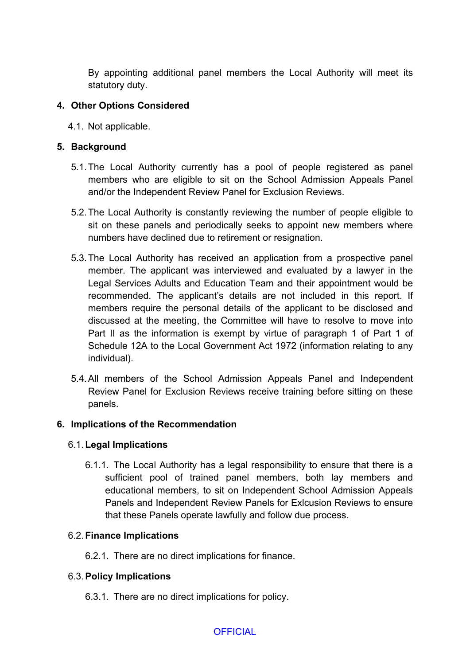By appointing additional panel members the Local Authority will meet its statutory duty.

# **4. Other Options Considered**

4.1. Not applicable.

# **5. Background**

- 5.1.The Local Authority currently has a pool of people registered as panel members who are eligible to sit on the School Admission Appeals Panel and/or the Independent Review Panel for Exclusion Reviews.
- 5.2.The Local Authority is constantly reviewing the number of people eligible to sit on these panels and periodically seeks to appoint new members where numbers have declined due to retirement or resignation.
- 5.3.The Local Authority has received an application from a prospective panel member. The applicant was interviewed and evaluated by a lawyer in the Legal Services Adults and Education Team and their appointment would be recommended. The applicant's details are not included in this report. If members require the personal details of the applicant to be disclosed and discussed at the meeting, the Committee will have to resolve to move into Part II as the information is exempt by virtue of paragraph 1 of Part 1 of Schedule 12A to the Local Government Act 1972 (information relating to any individual).
- 5.4.All members of the School Admission Appeals Panel and Independent Review Panel for Exclusion Reviews receive training before sitting on these panels.

# **6. Implications of the Recommendation**

# 6.1.**Legal Implications**

6.1.1. The Local Authority has a legal responsibility to ensure that there is a sufficient pool of trained panel members, both lay members and educational members, to sit on Independent School Admission Appeals Panels and Independent Review Panels for Exlcusion Reviews to ensure that these Panels operate lawfully and follow due process.

# 6.2.**Finance Implications**

6.2.1. There are no direct implications for finance.

# 6.3.**Policy Implications**

6.3.1. There are no direct implications for policy.

# **OFFICIAL**